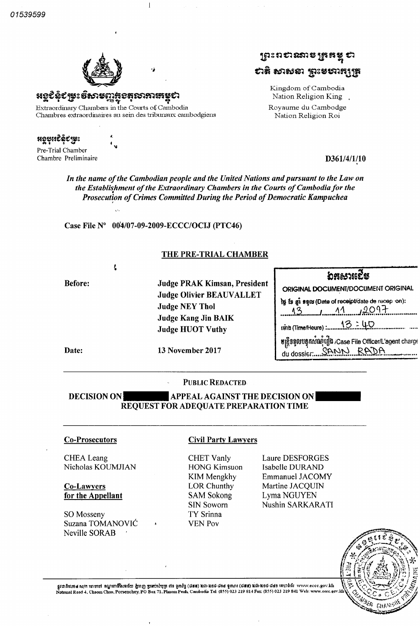01539599



Kecê领y: ธัชวะตารอธุณภาพระอ

Extraordinary Chambers in tlie Courts of Cambodia Chambres extraordinaires au sein des tribunaux cambodgiens

 $\mathbf{I}$ 

«sesîêê£î©s 4»

Pre-Trial Chamber Chambre Preliminaire **D361/4/1/10** 

ស្រះរាសនោះ <mark>មិង ដំ</mark>  $\,$ ะวิติ ชวชะอา $\,$ ธุระยากรุ $\,$ รูธ

> Kingdom of Cambodia Nation Religion King. Royaume du Cambodge Nation Religion Roi

**prenche** ORIGINAL DOCUMENT/DOCUMENT ORIGINAL

tg is gi san (Date of receipt/date de recep on):  $13$   $13$   $11$   $1201$ 

du dossier: SANN RADA

 $\frac{13.100}{13.100}$ 

ulgastongung in Case File Officer/L'agent charge

In the name ofthe Cambodian people and the United Nations andpursuant to the Law on the Establishment of the Extraordinary Chambers in the Courts of Cambodia for the Prosecution of Crimes Committed During the Period of Democratic Kampuchea

Case File  $N^{\circ}$  00<sup>'4</sup>/07-09-2009-ECCC/OCIJ (PTC46)

## THE PRE-TRIAL CHAMBER

Before: Judge PRAK Kimsan, President Judge Olivier BEAUVALLET Judge NEY Thol Judge Kang Jin BAIK Judge HUOT Vuthy

Date: 13 November 2017

## PUBLIC REDACTED

APPEAL AGAINST THE DECISION ON REQUEST FOR ADEQUATE PREPARATION TIME DECISION ON

CHEA Leang Nicholas KOUMJIAN

Co-Lawyers for the Appellant

SO Mosseny Suzana TOMANOVIC Neville SORAB

## Co Prosecutors Civil Party Lawyers

CHET Vanly HONG Kimsuon KIM Mengkhy LOR Chunthy SAM Sokong SIN Soworn TY Srinna YEN Pov

Laure DESFORGES Isabelle DURAND Emmanuel JACOMY Martine JACQUIN Lyma NGUYEN Nushin SARKARATI

teib (Time/Heure) :....



ន្តវបាតិលេខ៤ ស/ក ចោមចៅ ខណ្ឌពោធិ៍សែនជ័យ ភ្នំពេញ ប្រឆប់សំបុត្រ ៧១ ខ្ញុំស័ក្ត (data) នៃមិន នៅមាន ១៩៩ ខណៈ នៃ និង ន<br>National Road 4, Chaom Chau, Porsenchey, PO Box 71, Phnom Penh, Cambodia Tel: (855) 023 219 841 Sex: (855) 023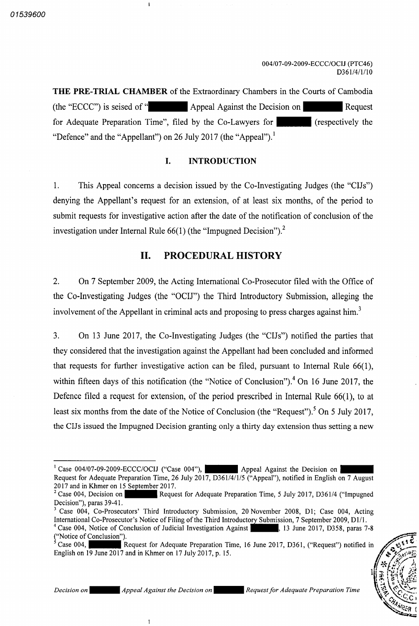**THE PRE-TRIAL CHAMBER** of the Extraordinary Chambers in the Courts of Cambodia the "ECCC" is seised of "| Appeal Against the Decision on for Adequate Preparation Time", filed by the Co-Lawyers for "Defence" and the "Appellant" on 26 July 2017 (the "Appeal"). Request respectively the

### $\mathbf{L}$ INTRODUCTION

 $1.$ This Appeal concerns a decision issued by the Co-Investigating Judges (the "CIJs") denying the Appellant's request for an extension, of at least six months, of the period to submit requests for investigative action after the date of the notification of conclusion of the investigation under Internal Rule  $66(1)$  (the "Impugned Decision").<sup>2</sup>

## II. PROCEDURAL HISTORY

 $2.$ On 7 September 2009, the Acting International Co-Prosecutor filed with the Office of the Co-Investigating Judges (the "OCIJ") the Third Introductory Submission, alleging the involvement of the Appellant in criminal acts and proposing to press charges against him.<sup>3</sup>

 $3.$ On 13 June 2017, the Co-Investigating Judges (the "CIJs") notified the parties that they considered that the investigation against the Appellant had been concluded and informed that requests for further investigative action can be filed, pursuant to Internal Rule  $66(1)$ , within fifteen days of this notification (the "Notice of Conclusion").<sup>4</sup> On 16 June 2017, the Defence filed a request for extension, of the period prescribed in Internal Rule  $66(1)$ , to at least six months from the date of the Notice of Conclusion (the "Request"). <sup>5</sup> On 5 July 2017, the CIJs issued the Impugned Decision granting only a thirty day extension thus setting a new

Case 004 English on  $19$  June  $2017$  and in Khmer on  $17$  July  $2017$ , p.  $15$ . Request for Adequate Preparation Time, 16 June 2017, D361, ("Request") notified in



 $\mathbf{I}$ 

Case 004/07-09-2009-ECCC/OCIJ ("Case 004"), Appeal Against the Decision on Request for Adequate Preparation Time, 26 July 2017, D361/4/1/5 ("Appeal"), notified in English on 7 August 2017 and in Khmer on <sup>15</sup> September 2017

 $2$  Case 004, Decision on Decision"), paras 39-41. Request for Adequate Preparation Time, 5 July 2017, D361/4 ("Impugned"

Case 004, Co-Prosecutors' Third Introductory Submission, 20 November 2008, D1; Case 004, Acting International Co-Prosecutor's Notice of Filing of the Third Introductory Submission, 7 September 2009, D1/1. Case 004, Notice of Conclusion of Judicial Investigation Against ("Notice of Conclusion"). , 13 June 2017, D358, paras 7-8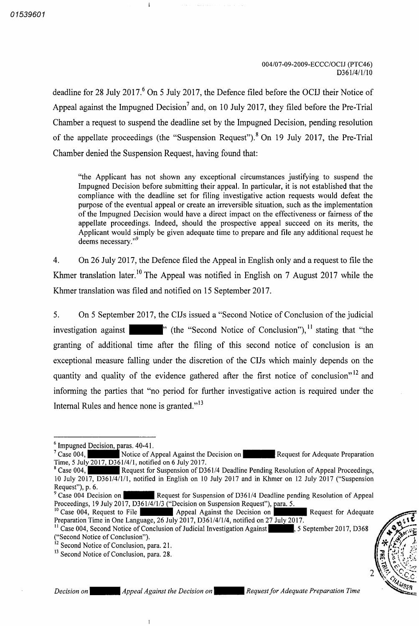deadline for 28 July 2017.<sup>6</sup> On 5 July 2017, the Defence filed before the OCIJ their Notice of Appeal against the Impugned Decision<sup>7</sup> and, on 10 July 2017, they filed before the Pre-Trial Chamber a request to suspend the deadline set by the Impugned Decision, pending resolution of the appellate proceedings (the "Suspension Request"). <sup>8</sup> On 19 July 2017, the Pre-Trial Chamber denied the Suspension Request, having found that:

"the Applicant has not shown any exceptional circumstances justifying to suspend the Impugned Decision before submitting their appeal. In particular, it is not established that the compliance with the deadline set for filing investigative action requests would defeat the purpose of the eventual appeal or create an irreversible situation, such as the implementation of the Impugned Decision would have a direct impact on the effectiveness or fairness of the appellate proceedings. Indeed, should the prospective appeal succeed on its merits, the Applicant would simply be given adequate time to prepare and file any additional request he deems necessary."<sup>9</sup>

 $\overline{4}$ . On 26 July 2017, the Defence filed the Appeal in English only and a request to file the Khmer translation later.<sup>10</sup> The Appeal was notified in English on 7 August 2017 while the Khmer translation was filed and notified on <sup>15</sup> September 2017

On 5 September 2017, the CIJs issued a "Second Notice of Conclusion of the judicial  $5<sub>1</sub>$ investigation against **Number 1**" (the "Second Notice of Conclusion"), <sup>11</sup> stating that "the granting of additional time after the filing of this second notice of conclusion is an exceptional measure falling under the discretion of the CIJs which mainly depends on the quantity and quality of the evidence gathered after the first notice of conclusion"<sup>12</sup> and informing the parties that "no period for further investigative action is required under the Internal Rules and hence none is granted."<sup>13</sup>

<sup>&</sup>lt;sup>12</sup> Second Notice of Conclusion, para. 21.<br><sup>13</sup> Second Notice of Conclusion, para. 28.



 $\overline{1}$ 

 $\left(\frac{2}{3}\right)$ 

CHAMBER

 $6$  Impugned Decision, paras. 40-41.

Case 004 Time, 5 Jul<u>y 2017, D36</u>1/4/1, notified on 6 July 2017. Notice of Appeal Against the Decision on **Request for Adequate Preparation** 

Request for Suspension of D361/4 Deadline Pending Resolution of Appeal Proceedings,  $^8$  Case 004. 10 July 2017, D361/4/1/1, notified in English on 10 July 2017 and in Khmer on 12 July 2017 ("Suspension Request"), p. 6.<br> $^{9}$  Case 004 Decision on

Request for Suspension of D361/4 Deadline pending Resolution of Appeal Proceedings, 19 July 2017, D361/4/1/3 ("Decision on Suspension Request"), para. 5.

<sup>&</sup>lt;sup>10</sup> Case 004, Request to File Preparation Time in One Language, 26 July 2017, D361/4/1/4, notified on 2<u>7 July 20</u>17. Appeal Against the Decision on **Request for Adequate** 

<sup>&</sup>lt;sup>11</sup> Case 004, Second Notice of Conclusion of Judicial Investigation Against 5 September 2017, D368 ("Second Notice of Conclusion").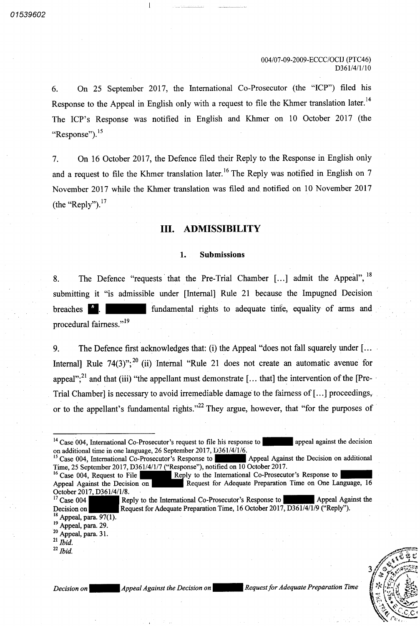On 25 September 2017, the International Co-Prosecutor (the "ICP") filed his 6. Response to the Appeal in English only with a request to file the Khmer translation later.<sup>14</sup> The ICP's Response was notified in English and Khmer on <sup>10</sup> October <sup>2017</sup> the "Response").<sup>15</sup>

On 16 October 2017, the Defence filed their Reply to the Response in English only  $7.$ and a request to file the Khmer translation later.<sup>16</sup> The Reply was notified in English on November 2017 while the Khmer translation was filed and notified on <sup>10</sup> November 2017 the "Reply"). $^{17}$ 

## III. ADMISSIBILITY

#### 1. Submissions

The Defence "requests that the Pre-Trial Chamber  $[...]$  admit the Appeal",  $18$ 8. submitting it "is admissible under [Internal] Rule <sup>21</sup> because the Impugned Decision fundamental rights to adequate time, equality of arms and breaches procedural fairness."<sup>19</sup>

The Defence first acknowledges that: (i) the Appeal "does not fall squarely under  $[\dots]$  $9<sub>1</sub>$ Internal] Rule  $74(3)$ ";<sup>20</sup> (ii) Internal "Rule 21 does not create an automatic avenue for appeal";<sup>21</sup> and that (iii) "the appellant must demonstrate [... that] the intervention of the [Pre-Trial Chamber] is necessary to avoid irremediable damage to the fairness of  $[...]$  proceedings, or to the appellant's fundamental rights."<sup>22</sup> They argue, however, that "for the purposes of

 $17$  Case 004 Decision on Reply to the International Co-Prosecutor's Response to Appeal Against the Request for Adequate Preparation Time, 16 October 2017, D361/4/1/9 ("Reply").



Decision on Appeal Against the Decision on **Appeal Against the Decision on Alequest** for Adequate Preparation Time

<sup>&</sup>lt;sup>14</sup> Case 004, International Co-Prosecutor's request to file his response to **the set of the set of the contact** appeal against the decision

on additional time in one language, 26 September 2017, D361<br><sup>15</sup> Case 004, International Co-Prosecutor's Response to Time, 25 September 2017, D361/4/1/7 ("Response"), notified on 10 October 2017. Appeal Against the Decision on additional

<sup>&</sup>lt;sup>16</sup> Case 004, Request to File Appeal Against the Decision on October 2017, D361/4/1/8. Reply to the International Co-Prosecutor's Response to Request for Adequate Preparation Time on One Language, 16

<sup>&</sup>lt;sup>18</sup> Appeal, para. 97( Appeal, para. 97<br>  $^{19}$  Appeal, para. 29.

 $^{20}$  Appeal, para. 31.

 $^{21}$  Ibid.

 $^{22}$  Ibid.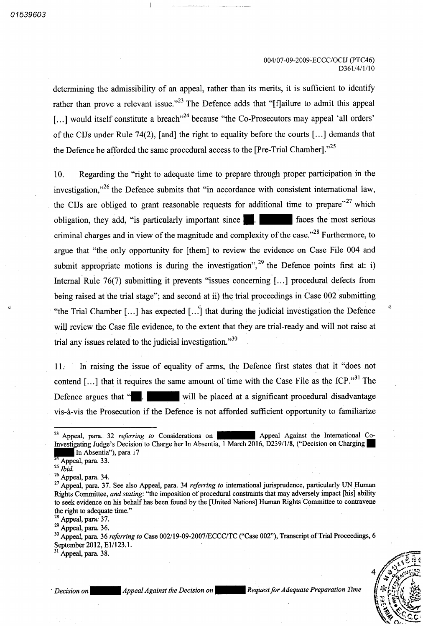determining the admissibility of an appeal, rather than its merits, it is sufficient to identify rather than prove a relevant issue."<sup>23</sup> The Defence adds that "[f]ailure to admit this appeal [...] would itself constitute a breach"<sup>24</sup> because "the Co-Prosecutors may appeal 'all orders' of the CIJs under Rule 74(2), [and] the right to equality before the courts  $\left[\ldots\right]$  demands that the Defence be afforded the same procedural access to the [Pre-Trial Chamber]. $^{25}$ 

Regarding the "right to adequate time to prepare through proper participation in the investigation,"<sup>26</sup> the Defence submits that "in accordance with consistent international law. the CIJs are obliged to grant reasonable requests for additional time to prepare"<sup>27</sup> which faces the most serious 10 obligation, they add, "is particularly important since criminal charges and in view of the magnitude and complexity of the case."<sup>28</sup> Furthermore, to argue that "the only opportunity for [them] to review the evidence on Case File 004 and submit appropriate motions is during the investigation",  $29$  the Defence points first at: Internal Rule  $76(7)$  submitting it prevents "issues concerning [...] procedural defects from being raised at the trial stage"; and second at ii) the trial proceedings in Case 002 submitting "the Trial Chamber [...] has expected  $\left[\ldots\right]$  that during the judicial investigation the Defence will review the Case file evidence, to the extent that they are trial-ready and will not raise at trial any issues related to the judicial investigation."<sup>30</sup>

In raising the issue of equality of arms, the Defence first states that it "does not contend [...] that it requires the same amount of time with the Case File as the ICP.<sup>331</sup> The will be placed at a significant procedural disadvantage 11 Defence argues that " vis vis the Prosecution if the Defence is not afforded sufficient opportunity to familiarize

 $^{28}$  Appeal, para. 37.

 $^{29}$  Appeal, para. 36.

<sup>31</sup> Appeal, para. 38.

Request for Adequate Preparation Time

Δ lj

<sup>&</sup>lt;sup>23</sup> Appeal, para. 32 *referring to* Considerations on **Appeal Against the International Co** Investigating Judge's Decision to Charge her In Absentia, 1 March 2016, D239/1/8, ("Decision on Charging

In Absentia"), para 17  $^{24}$  Appeal, para. 33.

 $^{25}$  Ibid.

 $^{26}$  Appeal, para. 34.

<sup>&</sup>lt;sup>27</sup> Appeal, para. 37. See also Appeal, para. 34 referring to international jurisprudence, particularly UN Human Rights Committee, and stating: "the imposition of procedural constraints that may adversely impact [his] ability to seek evidence on his behalf has been found by the [United Nations] Human Rights Committee to contravene the right to adequate time."

 $30$  Appeal, para. 36 *referring to* Case  $002/19$ -09-2007/ECCC/TC ("Case 002"), Transcript of Trial Proceedings, September 2012, E1/123.1.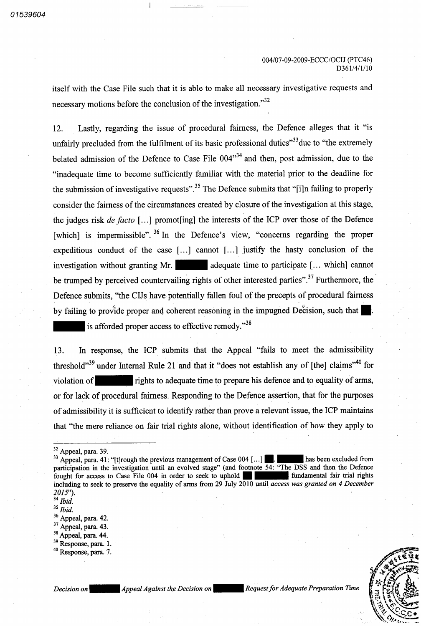itself with the Case File such that it is able to make all necessary investigative requests and necessary motions before the conclusion of the investigation."<sup>32</sup>

Lastly, regarding the issue of procedural fairness, the Defence alleges that it "is unfairly precluded from the fulfilment of its basic professional duties $33$  due to "the extremely" belated admission of the Defence to Case File  $004$ <sup>34</sup> and then, post admission, due to the "inadequate time to become sufficiently familiar with the material prior to the deadline for the submission of investigative requests".<sup>35</sup> The Defence submits that "[i]n failing to properly consider the fairness of the circumstances created by closure of the investigation at this stage 12 the judges risk de facto [...] promot[ing] the interests of the ICP over those of the Defence [which] is impermissible".<sup>36</sup> In the Defence's view, "concerns regarding the proper expeditious conduct of the case  $[\dots]$  cannot  $[\dots]$  justify the hasty conclusion of the investigation without granting Mr.  $\blacksquare$  adequate time to participate [... which] cannot be trumped by perceived countervailing rights of other interested parties".<sup>37</sup> Furthermore, the Defence submits, "the CIJs have potentially fallen foul of the precepts of procedural fairness by failing to provide proper and coherent reasoning in the impugned Decision, such that

is afforded proper access to effective remedy."<sup>38</sup>

In response, the ICP submits that the Appeal "fails to meet the admissibility threshold<sup>339</sup> under Internal Rule 21 and that it "does not establish any of [the] claims<sup>340</sup> for rights to adequate time to prepare his defence and to equality of arms violation of or for lack of procedural fairness. Responding to the Defence assertion, that for the purposes of admissibility it is sufficient to identify rather than prove a relevant issue, the ICP maintains that "the mere reliance on fair trial rights alone, without identification of how they apply to 13

 $33$  Appeal, para. 41: "[t]rough the previous management of Case 004 Appeal, para. 41: [t] rough the previous management of Case 004 [...] The mass been excluded from participation in the investigation until an evolved stage" (and footnote 54: "The DSS and then the Defence fought for access to Case File 004 in order to seek to uphold including to seek to preserve the equality of arms from 29 July  $2010$  until access was granted on 4 December  $2015$ "). has been excluded from fundamental fair trial rights



 $\frac{32}{12}$  Appeal, para. 39.

 $34$  Ibid.

 $35$  Ibid.

 $36$  Appeal, para. 42.

 $37$  Appeal, para. 43.

 $38$  Appeal, para. 44.

<sup>&</sup>lt;sup>39</sup> Response, para.

<sup>&</sup>lt;sup>40</sup> Response, para.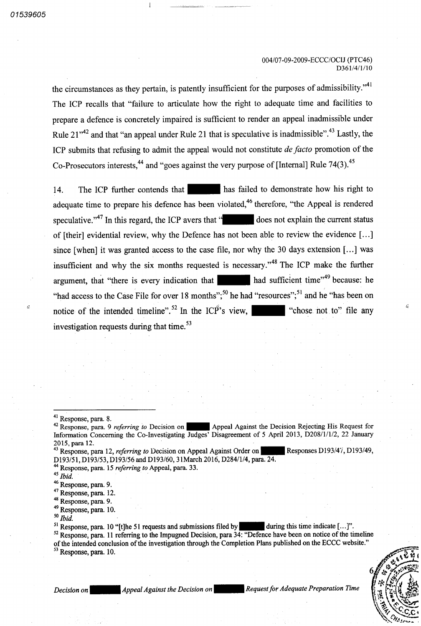the circumstances as they pertain, is patently insufficient for the purposes of admissibility. $"$ <sup>41</sup> The ICP recalls that "failure to articulate how the right to adequate time and facilities to prepare defence is concretely impaired is sufficient to render an appeal inadmissible under Rule  $21^{42}$  and that "an appeal under Rule 21 that is speculative is inadmissible".<sup>43</sup> Lastly, the ICP submits that refusing to admit the appeal would not constitute *de facto* promotion of the Co-Prosecutors interests,  $44$  and "goes against the very purpose of [Internal] Rule 74(3).  $45$ 

14. The ICP further contends that has failed to demonstrate how his right to adequate time to prepare his defence has been violated,<sup>46</sup> therefore, "the Appeal is rendered speculative."<sup>47</sup> In this regard, the ICP avers that " does not explain the current status of [their] evidential review, why the Defence has not been able to review the evidence [...] since [when] it was granted access to the case file, nor why the 30 days extension  $[...]$  was insufficient and why the six months requested is necessary."<sup>48</sup> The ICP make the further argument, that "there is every indication that  $\blacksquare$  had sufficient time" because: he "had access to the Case File for over 18 months";<sup>50</sup> he had "resources";<sup>51</sup> and he "has been on notice of the intended timeline".<sup>52</sup> In the ICP's view, investigation requests during that time 53 "chose not to" file any

- $^{48}_{12}$  Response, para.
- $^{49}$  Response, para. 10.

of the intended conclusion of the investigation through the Completion Plans published on the ECCC website." <sup>53</sup> Response, para. 10.



Decision on **Appeal Against the Decision on Request for Adequate Preparation Time** Decision on **OP** 

 $\frac{41}{4}$  Response, para.

<sup>&</sup>lt;sup>42</sup> Response, para. 9 referring to Decision on **Appeal Against the Decision Rejecting His Request for** Information Concerning the Co-Investigating Judges' Disagreement of 5 April 2013, D208/1/1/2, 22 January 2015 para 12

<sup>&</sup>lt;sup>43</sup> Response, para 12, *referring to* Decision on Appeal Against Order on D193/51, D193/53, D193/56 and D193/60, 31 March 2016, D284/1/4, para. 24. Responses D193/47, D193/49,

 $^{44}$  Response, para. 15 *referring to* Appeal, para. 33.

 $45$  Ibid.

 $^{46}$  Response, para.

 $^{47}$  Response, para. 12.

 $^{50}$  Ibid.

<sup>&</sup>lt;sup>51</sup> Response, para. 10 "[t]he 51 requests and submissions filed by during this time indicate  $[\ldots]$ ".  $52$  Response, para. 11 referring to the Impugned Decision, para 34: "Defence have been on notice of the timeline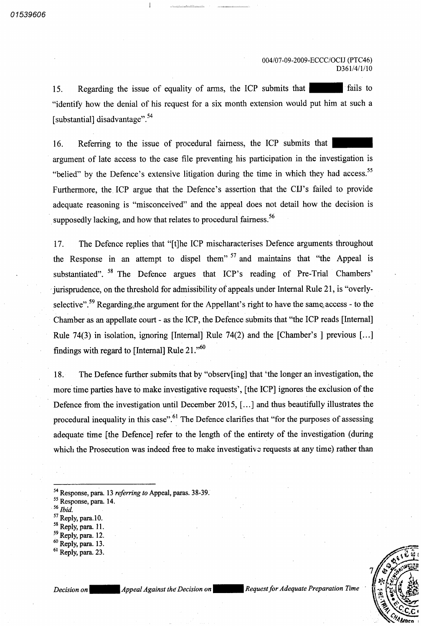fails to Regarding the issue of equality of arms, the ICP submits that "identify how the denial of his request for a six month extension would put him at such a [substantial] disadvantage".<sup>54</sup> 15

Referring to the issue of procedural fairness, the ICP submits that argument of late access to the case file preventing his participation in the investigation is "belied" by the Defence's extensive litigation during the time in which they had access.<sup>55</sup> Furthermore, the ICP argue that the Defence's assertion that the CIJ's failed to provide adequate reasoning is "misconceived" and the appeal does not detail how the decision is supposedly lacking, and how that relates to procedural fairness.<sup>56</sup> 16

The Defence replies that "[t]he ICP mischaracterises Defence arguments throughout the Response in an attempt to dispel them<sup>" 57</sup> and maintains that "the Appeal is substantiated". <sup>58</sup> The Defence argues that ICP's reading of Pre-Trial Chambers' jurisprudence, on the threshold for admissibility of appeals under Internal Rule 21, is "overlyselective".<sup>59</sup> Regarding the argument for the Appellant's right to have the same access - to the Chamber as an appellate court - as the ICP, the Defence submits that "the ICP reads [Internal] Rule 74(3) in isolation, ignoring [Internal] Rule 74(2) and the [Chamber's ] previous [...] findings with regard to [Internal] Rule  $21.^{60}$ 17

The Defence further submits that by "observ[ing] that 'the longer an investigation, the more time parties have to make investigative requests', [the ICP] ignores the exclusion of the Defence from the investigation until December 2015,  $[\dots]$  and thus beautifully illustrates the procedural inequality in this case".<sup>61</sup> The Defence clarifies that "for the purposes of assessing adequate time [the Defence] refer to the length of the entirety of the investigation (during which the Prosecution was indeed free to make investigative requests at any time) rather than 18

- $\frac{57}{10}$  Reply, para 10.
- $\frac{58}{6}$  Reply, para. 11.
- $\frac{59}{2}$  Reply, para. 12.
- $\frac{60}{6}$  Reply, para. 13.
- <sup>61</sup> Reply, para. 23.

Decision on **Appeal Against the Decision on** Request for Adequate Preparation Time



 $\frac{54}{5}$  Response, para. 13 *referring to Appeal*, paras. 38-39.

 $\frac{55}{6}$  Response, para. 14.

<sup>&</sup>lt;sup>56</sup> Ibid.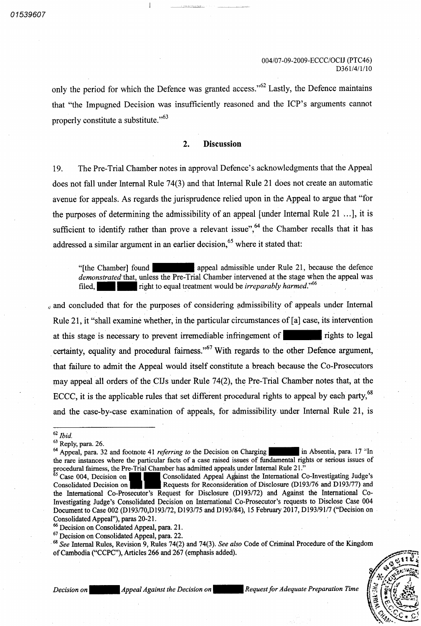only the period for which the Defence was granted access."<sup>62</sup> Lastly, the Defence maintains that "the Impugned Decision was insufficiently reasoned and the ICP's arguments cannot properly constitute a substitute." $63$ 

#### $2.$ **Discussion**

The Pre Trial Chamber notes in approval Defence's acknowledgments that the Appeal does not fall under Internal Rule  $74(3)$  and that Internal Rule 21 does not create an automatic avenue for appeals. As regards the jurisprudence relied upon in the Appeal to argue that "for the purposes of determining the admissibility of an appeal [under Internal Rule  $21$  ...], it is sufficient to identify rather than prove a relevant issue",  $64$  the Chamber recalls that it has addressed a similar argument in an earlier decision,<sup>65</sup> where it stated that: 19

appeal admissible under Rule <sup>21</sup> because the defence "[the Chamber] found demonstrated that, unless the Pre-Trial Chamber intervened at the stage when the appeal was right to equal treatment would be *irreparably harmed*."<sup>66</sup> filed

and concluded that for the purposes of considering admissibility of appeals under Internal Rule 21, it "shall examine whether, in the particular circumstances of  $[a]$  case, its intervention rights to legal certainty, equality and procedural fairness."<sup>67</sup> With regards to the other Defence argument, that failure to admit the Appeal would itself constitute a breach because the Co-Prosecutors may appeal all orders of the CIJs under Rule 74(2), the Pre-Trial Chamber notes that, at the ECCC, it is the applicable rules that set different procedural rights to appeal by each party, $^{68}$ and the case-by-case examination of appeals, for admissibility under Internal Rule 21, is at this stage is necessary to prevent irremediable infringement of

<sup>64</sup> Appeal, para. 32 and footnote 41 *referring to* the Decision on Charging the rare instances where the particular facts of a case raised issues of fundamental rights or serious issues of procedural fairness, the Pre-Trial Chamber has admitted appeals under Internal Rule 21. in Absentia, para. 17 <sup>o</sup>ln

 $\delta$ <sup>8</sup> See Internal Rules, Revision 9, Rules 74(2) and 74(3). See also Code of Criminal Procedure of the Kingdom of Cambodia ("CCPC"), Articles 266 and 267 (emphasis added).



Decision on Appeal Against the Decision on Request for Adequate Preparation Time

 $^{62}$  Ibid.

 $\frac{63}{4}$  Reply, para. 26.

Case 004, Decision on Consolidated Appeal Against the International Co-Investigating Judge's Consolidated Decision on **Requests for Reconsideration of Disclosure (D193/76 and D193/77) and** the International Co-Prosecutor's Request for Disclosure (D193/72) and Against the International Co-Investigating Judge's Consolidated Decision on International Co Prosecutor's requests to Disclose Case 004 Document to Case 002 (D193/70, D193/72, D193/75 and D193/84), 15 February 2017, D193/91/7 ("Decision on Consolidated Appeal"), paras 20-21.

<sup>&</sup>lt;sup>66</sup> Decision on Consolidated Appeal, para. 21.

 $^{67}$  Decision on Consolidated Appeal, para. 22.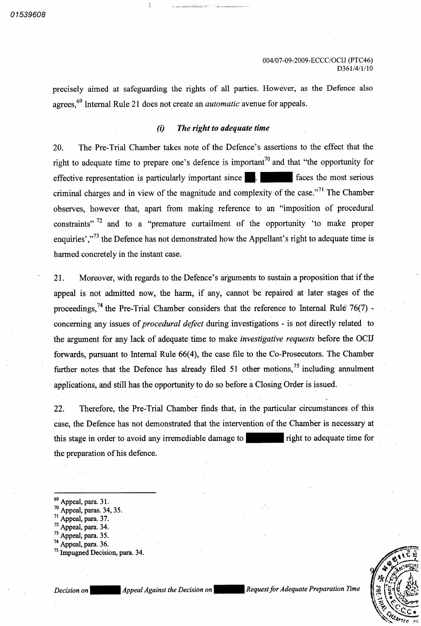precisely aimed at safeguarding the rights of all parties. However, as the Defence also agrees,<sup>69</sup> Internal Rule 21 does not create an *automatic* avenue for appeals.

#### The right to adequate time  $(i)$

The Pre Trial Chamber takes note of the Defence's assertions to the effect that the right to adequate time to prepare one's defence is important<sup>10</sup> and that "the opportunity for effective representation is particularly important since **.** | criminal charges and in view of the magnitude and complexity of the case."<sup>71</sup> The Chamber observes, however that, apart from making reference to an "imposition of procedural 20 faces the most serious constraints"<sup>72</sup> and to a "premature curtailment of the opportunity 'to make proper enquiries',"<sup>73</sup> the Defence has not demonstrated how the Appellant's right to adequate time is harmed concretely in the instant case

Moreover, with regards to the Defence's arguments to sustain a proposition that if the appeal is not admitted now, the harm, if any, cannot be repaired at later stages of the proceedings,<sup>74</sup> the Pre-Trial Chamber considers that the reference to Internal Rule 76 concerning any issues of *procedural defect* during investigations - is not directly related to the argument for any lack of adequate time to make *investigative requests* before the OCIJ forwards, pursuant to Internal Rule 66(4), the case file to the Co-Prosecutors. The Chamber further notes that the Defence has already filed  $51$  other motions,<sup>75</sup> including annulment applications, and still has the opportunity to do so before a Closing Order is issued. 21

22. Therefore, the Pre-Trial Chamber finds that, in the particular circumstances of this case, the Defence has not demonstrated that the intervention of the Chamber is necessary at this stage in order to avoid any irremediable damage to **the stage in order to a** right to adequate time for the preparation of his defence

- $\frac{69}{20}$  Appeal, para. 31.
- $\frac{70}{21}$  Appeal, paras. 34, 35.
- $\frac{71}{2}$  Appeal, para. 37.
- $\frac{72}{12}$  Appeal, para. 34.
- $\frac{73}{12}$  Appeal, para. 35.
- $^{74}$  Appeal, para. 36.
- <sup>75</sup> Impugned Decision, para. 34.

Decision on **Appeal Against the Decision on** 

Request for Adequate Preparation Time

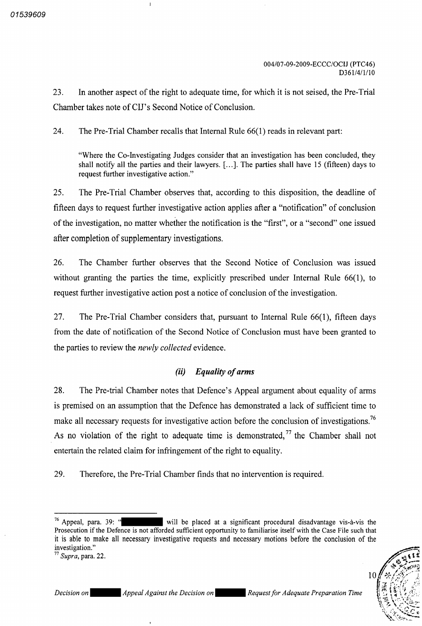In another aspect of the right to adequate time, for which it is not seised, the Pre-Trial Chamber takes note of CIJ's Second Notice of Conclusion 23.

24. The Pre-Trial Chamber recalls that Internal Rule  $66(1)$  reads in relevant part:

"Where the Co-Investigating Judges consider that an investigation has been concluded, they shall notify all the parties and their lawyers. [...]. The parties shall have 15 (fifteen) days to request further investigative action."

The Pre-Trial Chamber observes that, according to this disposition, the deadline of fifteen days to request further investigative action applies after a "notification" of conclusion of the investigation, no matter whether the notification is the "first", or a "second" one issued after completion of supplementary investigations 25

The Chamber further observes that the Second Notice of Conclusion was issued without granting the parties the time, explicitly prescribed under Internal Rule  $66(1)$ , to request further investigative action post a notice of conclusion of the investigation. 26

The Pre-Trial Chamber considers that, pursuant to Internal Rule  $66(1)$ , fifteen days from the date of notification of the Second Notice of Conclusion must have been granted to the parties to review the *newly collected* evidence. 27

# $(ii)$  Equality of arms

28. The Pre-trial Chamber notes that Defence's Appeal argument about equality of arms is premised on an assumption that the Defence has demonstrated a lack of sufficient time to make all necessary requests for investigative action before the conclusion of investigations.<sup>76</sup> As no violation of the right to adequate time is demonstrated,  $77$  the Chamber shall not entertain the related claim for infringement of the right to equality

29. Therefore, the Pre-Trial Chamber finds that no intervention is required.



<sup>&</sup>lt;sup>76</sup> Appeal, para. 39: Prosecution if the Defence is not afforded sufficient opportunity to familiarise itself with the Case File such that it is able to make all necessary investigative requests and necessary motions before the conclusion of the will be placed at a significant procedural disadvantage vis-à-vis the

mvestigation.<br><sup>77</sup> Supra, para. 22.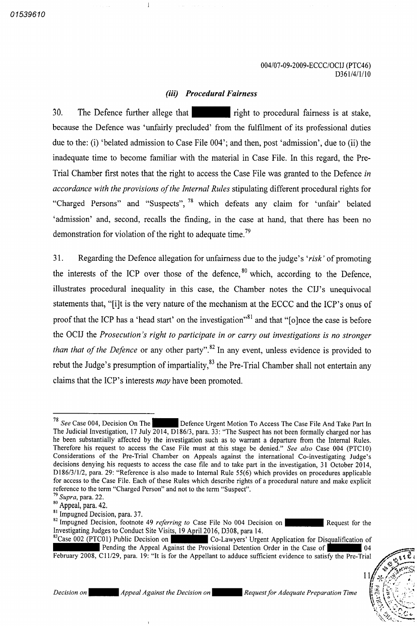## (iii) Procedural Fairness

30. The Defence further allege that right to procedural fairness is at stake, because the Defence was 'unfairly precluded' from the fulfilment of its professional duties due to the: (i) 'belated admission to Case File  $004$ '; and then, post 'admission', due to (ii) the inadequate time to become familiar with the material in Case File. In this regard, the Pre-Trial Chamber first notes that the right to access the Case File was granted to the Defence in accordance with the provisions of the Internal Rules stipulating different procedural rights for "Charged Persons" and "Suspects", <sup>78</sup> which defeats any claim for 'unfair' belated 'admission' and, second, recalls the finding, in the case at hand, that there has been no demonstration for violation of the right to adequate time.<sup>79</sup>

Regarding the Defence allegation for unfairness due to the judge's 'risk' of promoting the interests of the ICP over those of the defence,<sup>80</sup> which, according to the Defence illustrates procedural inequality in this case, the Chamber notes the CIJ's unequivocal statements that, "[i]t is the very nature of the mechanism at the ECCC and the ICP's onus of proof that the ICP has a 'head start' on the investigation"<sup>31</sup> and that "[o]nce the case is before the OCIJ the Prosecution's right to participate in or carry out investigations is no stronger than that of the Defence or any other party".<sup>82</sup> In any event, unless evidence is provided to rebut the Judge's presumption of impartiality,<sup>83</sup> the Pre-Trial Chamber shall not entertain any claims that the ICP's interests  $may$  have been promoted. 31

 $^{83}$ Case 002 (PTC01) Public Decision on  $\sim$  Co-Lawyers' Urgent Application for Disqualification of Pending the Appeal Against the Provisional Detention Order in the Case of February 2008, C11/29, para. 19: "It is for the Appellant to adduce sufficient evidence to satisfy the Pre-Trial  $\sqrt{04}$ 



 $\mathbf{1}$ 

<sup>&</sup>lt;sup>78</sup> See Case 004, Decision On The The Judicial Investigation, 17 July  $\overline{2014}$ ,  $\overline{D186/3}$ , para. 33: "The Suspect has not been formally charged nor has he been substantially affected by the investigation such as to warrant a departure from the Internal Rules. Therefore his request to access the Case File must at this stage be denied." See also Case 004 (PTC10) Considerations of the Pre-Trial Chamber on Appeals against the international Co-investigating Judge's decisions denying his requests to access the case file and to take part in the investigation, 31 October 2014, D186/3/1/2, para. 29: "Reference is also made to Internal Rule 55(6) which provides on procedures applicable for access to the Case File. Each of these Rules which describe rights of a procedural nature and make explicit reference to the term "Charged Person" and not to the term "Suspect".<br><sup>79</sup> Supra, para. 22. Defence Urgent Motion To Access The Case File And Take Part In

 $\frac{80}{3}$  Appeal, para. 42.

 $\sum_{n=1}^{81}$  Impugned Decision, para. 37.

<sup>&</sup>lt;sup>82</sup> Impugned Decision, footnote 49 referring to Case File No 004 Decision on Investigating Judges to Conduct Site Visits, 19 April 2016, D308, para 14. Request for the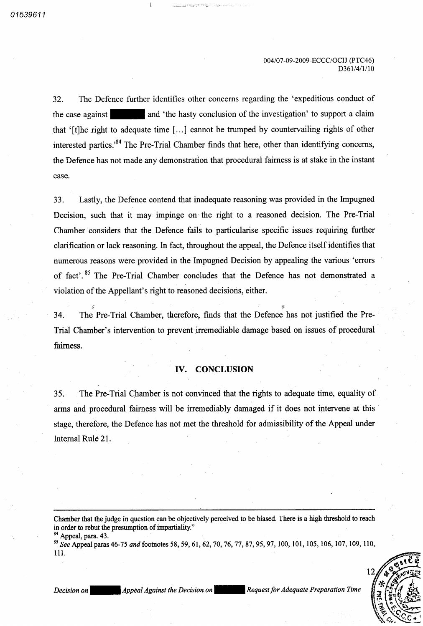The Defence further identifies other concerns regarding the 'expeditious conduct of and 'the hasty conclusion of the investigation' to support a claim that '[t]he right to adequate time [...] cannot be trumped by countervailing rights of other interested parties.<sup>84</sup> The Pre-Trial Chamber finds that here, other than identifying concerns, the Defence has not made any demonstration that procedural fairness is at stake in the instant 32 the case against case

Lastly, the Defence contend that inadequate reasoning was provided in the Impugned Decision, such that it may impinge on the right to a reasoned decision. The Pre-Trial Chamber considers that the Defence fails to particularise specific issues requiring further clarification or lack reasoning. In fact, throughout the appeal, the Defence itself identifies that numerous reasons were provided in the Impugned Decision by appealing the various 'errors of fact<sup>2</sup>.<sup>85</sup> The Pre-Trial Chamber concludes that the Defence has not demonstrated violation of the Appellant's right to reasoned decisions, either. 33

The Pre-Trial Chamber, therefore, finds that the Defence has not justified the Pre-Trial Chamber's intervention to prevent irremediable damage based on issues of procedural fairness 34

## IV. CONCLUSION

35. The Pre-Trial Chamber is not convinced that the rights to adequate time, equality of arms and procedural fairness will be irremediably damaged if it does not intervene at this stage, therefore, the Defence has not met the threshold for admissibility of the Appeal under Internal Rule 21

Chamber that the judge in question can be objectively perceived to be biased. There is a high threshold to reach in order to rebut the presumption of impartiality."

<sup>85</sup> See Appeal paras 46-75 and footnotes 58, 59, 61, 62, 70, 76, 77, 87, 95, 97, 100, 101, 105, 106, 107, 109, 110, 111



Decision on Appeal Against the Decision on Request for Adequate Preparation Time

 $^{84}_{\circ}$  Appeal, para. 43.